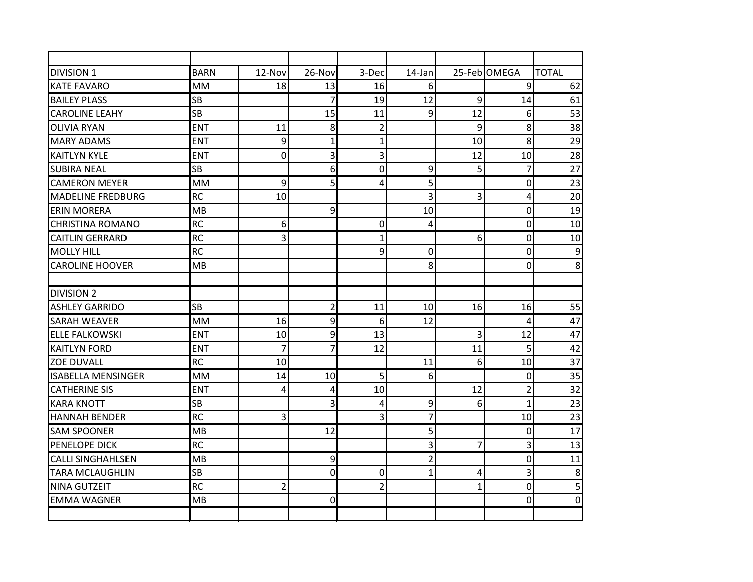| <b>DIVISION 1</b>        | <b>BARN</b> | $12-Nov$       | $26-Nov$       | 3-Dec          | $14$ -Jan      |              | 25-Feb OMEGA   | <b>TOTAL</b>     |
|--------------------------|-------------|----------------|----------------|----------------|----------------|--------------|----------------|------------------|
| <b>KATE FAVARO</b>       | <b>MM</b>   | 18             | 13             | 16             | 6              |              | 9              | 62               |
| <b>BAILEY PLASS</b>      | <b>SB</b>   |                | 7              | 19             | 12             | 9            | 14             | 61               |
| <b>CAROLINE LEAHY</b>    | <b>SB</b>   |                | 15             | 11             | 9              | 12           | 6              | 53               |
| <b>OLIVIA RYAN</b>       | <b>ENT</b>  | 11             | 8              | $\overline{2}$ |                | 9            | 8              | 38               |
| <b>MARY ADAMS</b>        | <b>ENT</b>  | 9              | $\mathbf{1}$   | $\overline{1}$ |                | 10           | 8              | 29               |
| <b>KAITLYN KYLE</b>      | <b>ENT</b>  | 0              | 3              | 3              |                | 12           | 10             | 28               |
| <b>SUBIRA NEAL</b>       | <b>SB</b>   |                | 6              | 0              | 9              | 5            | $\overline{7}$ | 27               |
| <b>CAMERON MEYER</b>     | <b>MM</b>   | 9              | 5              | 4              | 5              |              | 0              | 23               |
| <b>MADELINE FREDBURG</b> | <b>RC</b>   | 10             |                |                | 3              | 3            | 4              | 20               |
| <b>ERIN MORERA</b>       | MB          |                | 9              |                | 10             |              | 0              | 19               |
| <b>CHRISTINA ROMANO</b>  | <b>RC</b>   | 6              |                | 0              | 4              |              | 0              | 10               |
| <b>CAITLIN GERRARD</b>   | <b>RC</b>   | 3              |                | 1              |                | 6            | 0              | 10               |
| <b>MOLLY HILL</b>        | <b>RC</b>   |                |                | 9              | $\overline{0}$ |              | 0              | $\overline{9}$   |
| <b>CAROLINE HOOVER</b>   | MB          |                |                |                | 8              |              | 0              | 8                |
|                          |             |                |                |                |                |              |                |                  |
| <b>DIVISION 2</b>        |             |                |                |                |                |              |                |                  |
| <b>ASHLEY GARRIDO</b>    | <b>SB</b>   |                | $\overline{2}$ | 11             | 10             | 16           | 16             | 55               |
| <b>SARAH WEAVER</b>      | <b>MM</b>   | 16             | 9              | 6              | 12             |              | 4              | 47               |
| <b>ELLE FALKOWSKI</b>    | <b>ENT</b>  | 10             | 9              | 13             |                | 3            | 12             | 47               |
| IKAITLYN FORD            | <b>ENT</b>  | $\overline{7}$ | 7              | 12             |                | 11           | 5              | 42               |
| <b>ZOE DUVALL</b>        | <b>RC</b>   | 10             |                |                | 11             | 6            | 10             | 37               |
| ISABELLA MENSINGER       | <b>MM</b>   | 14             | 10             | 5              | 6              |              | 0              | 35               |
| <b>CATHERINE SIS</b>     | <b>ENT</b>  | 4              | 4              | 10             |                | 12           | $\overline{2}$ | 32               |
| <b>KARA KNOTT</b>        | <b>SB</b>   |                | 3              | 4              | 9              | 6            | $\overline{1}$ | 23               |
| <b>HANNAH BENDER</b>     | <b>RC</b>   | 3              |                | 3              | $\overline{7}$ |              | 10             | 23               |
| <b>SAM SPOONER</b>       | MB          |                | 12             |                | 5              |              | 0              | 17               |
| PENELOPE DICK            | <b>RC</b>   |                |                |                | 3              | 7            | 3              | 13               |
| <b>CALLI SINGHAHLSEN</b> | MB          |                | 9              |                | $\overline{2}$ |              | 0              | 11               |
| <b>TARA MCLAUGHLIN</b>   | <b>SB</b>   |                | $\overline{0}$ | 0              | $\mathbf{1}$   | 4            | 3              | 8                |
| <b>NINA GUTZEIT</b>      | <b>RC</b>   | $\overline{2}$ |                | $\overline{2}$ |                | $\mathbf{1}$ | 0              | 5                |
| lemma wagner             | MB          |                | 0              |                |                |              | 0              | $\boldsymbol{0}$ |
|                          |             |                |                |                |                |              |                |                  |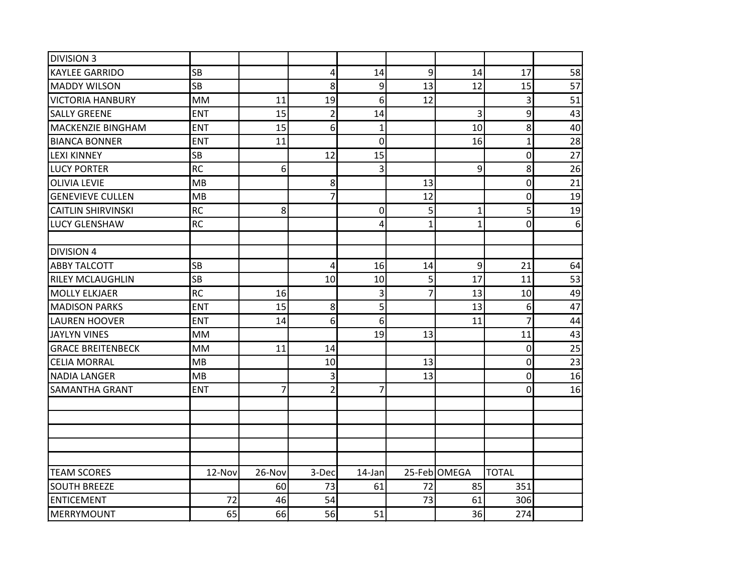| <b>DIVISION 3</b>         |            |        |                |                |              |                |                |       |
|---------------------------|------------|--------|----------------|----------------|--------------|----------------|----------------|-------|
| <b>KAYLEE GARRIDO</b>     | <b>SB</b>  |        | 4              | 14             | 9            | 14             | 17             | 58    |
| <b>MADDY WILSON</b>       | <b>SB</b>  |        | 8              | 9              | 13           | 12             | 15             | 57    |
| <b>VICTORIA HANBURY</b>   | <b>MM</b>  | 11     | 19             | 6              | 12           |                | 3              | 51    |
| <b>SALLY GREENE</b>       | <b>ENT</b> | 15     | $\overline{2}$ | 14             |              | 3              | 9              | 43    |
| MACKENZIE BINGHAM         | <b>ENT</b> | 15     | 6              | $\mathbf 1$    |              | 10             | 8              | 40    |
| <b>BIANCA BONNER</b>      | <b>ENT</b> | 11     |                | 0              |              | 16             | $\mathbf{1}$   | 28    |
| <b>LEXI KINNEY</b>        | <b>SB</b>  |        | 12             | 15             |              |                | 0              | 27    |
| <b>LUCY PORTER</b>        | <b>RC</b>  | 6      |                | 3              |              | 9              | $\mathbf{8}$   | 26    |
| <b>OLIVIA LEVIE</b>       | MB         |        | 8              |                | 13           |                | $\overline{0}$ | 21    |
| <b>GENEVIEVE CULLEN</b>   | MB         |        | 7              |                | 12           |                | 0              | 19    |
| <b>CAITLIN SHIRVINSKI</b> | <b>RC</b>  | 8      |                | 0              | 5            | $\mathbf{1}$   | 5              | 19    |
| <b>LUCY GLENSHAW</b>      | <b>RC</b>  |        |                | 4              | $\mathbf{1}$ | $\overline{1}$ | $\overline{0}$ | $6\,$ |
|                           |            |        |                |                |              |                |                |       |
| <b>DIVISION 4</b>         |            |        |                |                |              |                |                |       |
| <b>ABBY TALCOTT</b>       | <b>SB</b>  |        | $\sqrt{4}$     | 16             | 14           | 9              | 21             | 64    |
| <b>RILEY MCLAUGHLIN</b>   | <b>SB</b>  |        | 10             | 10             | 5            | 17             | 11             | 53    |
| <b>MOLLY ELKJAER</b>      | <b>RC</b>  | 16     |                | 3              | 7            | 13             | 10             | 49    |
| <b>MADISON PARKS</b>      | <b>ENT</b> | 15     | 8              | 5              |              | 13             | 6 <sup>1</sup> | 47    |
| <b>LAUREN HOOVER</b>      | <b>ENT</b> | 14     | 6              | 6              |              | 11             | $\overline{7}$ | 44    |
| <b>JAYLYN VINES</b>       | MM         |        |                | 19             | 13           |                | 11             | 43    |
| <b>GRACE BREITENBECK</b>  | MM         | 11     | 14             |                |              |                | $\mathbf 0$    | 25    |
| <b>CELIA MORRAL</b>       | MB         |        | 10             |                | 13           |                | $\overline{0}$ | 23    |
| <b>NADIA LANGER</b>       | MB         |        | 3              |                | 13           |                | $\overline{0}$ | 16    |
| SAMANTHA GRANT            | <b>ENT</b> | 7      | $\overline{2}$ | $\overline{7}$ |              |                | 0              | 16    |
|                           |            |        |                |                |              |                |                |       |
|                           |            |        |                |                |              |                |                |       |
|                           |            |        |                |                |              |                |                |       |
|                           |            |        |                |                |              |                |                |       |
|                           |            |        |                |                |              |                |                |       |
| <b>TEAM SCORES</b>        | 12-Nov     | 26-Nov | 3-Dec          | 14-Jan         |              | 25-Feb OMEGA   | <b>TOTAL</b>   |       |
| <b>SOUTH BREEZE</b>       |            | 60     | 73             | 61             | 72           | 85             | 351            |       |
| <b>ENTICEMENT</b>         | 72         | 46     | 54             |                | 73           | 61             | 306            |       |
| <b>MERRYMOUNT</b>         | 65         | 66     | 56             | 51             |              | 36             | 274            |       |